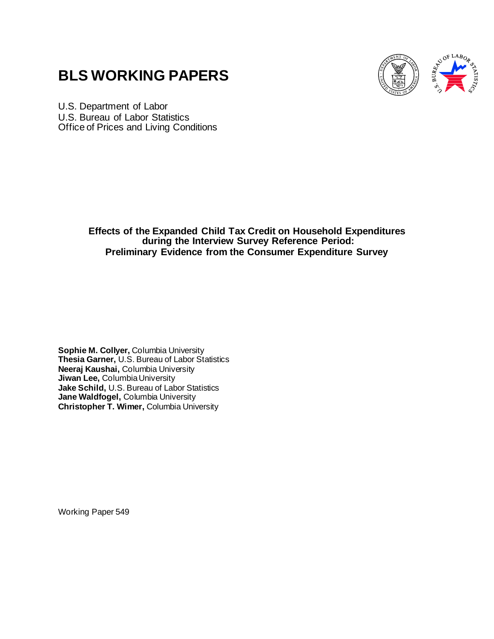# **BLS WORKING PAPERS**



U.S. Department of Labor U.S. Bureau of Labor Statistics Office of Prices and Living Conditions

> **Effects of the Expanded Child Tax Credit on Household Expenditures during the Interview Survey Reference Period: Preliminary Evidence from the Consumer Expenditure Survey**

**Sophie M. Collyer,** Columbia University **Thesia Garner,** U.S. Bureau of Labor Statistics **Neeraj Kaushai,** Columbia University **Jiwan Lee,** Columbia University **Jake Schild,** U.S. Bureau of Labor Statistics **Jane Waldfogel,** Columbia University **Christopher T. Wimer,** Columbia University

Working Paper 549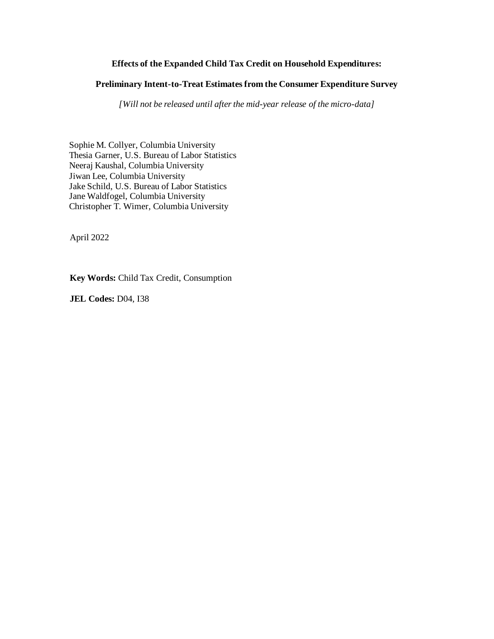# **Effects of the Expanded Child Tax Credit on Household Expenditures:**

# **Preliminary Intent-to-Treat Estimates from the Consumer Expenditure Survey**

*[Will not be released until after the mid-year release of the micro-data]*

Sophie M. Collyer, Columbia University Thesia Garner, U.S. Bureau of Labor Statistics Neeraj Kaushal, Columbia University Jiwan Lee, Columbia University Jake Schild, U.S. Bureau of Labor Statistics Jane Waldfogel, Columbia University Christopher T. Wimer, Columbia University

April 2022

**Key Words:** Child Tax Credit, Consumption

**JEL Codes:** D04, I38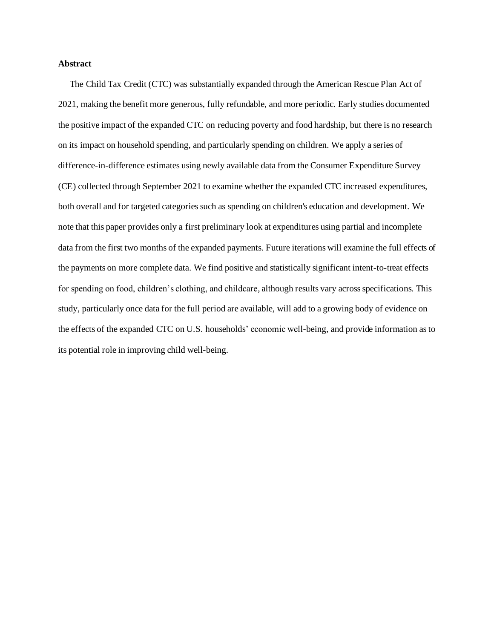# **Abstract**

The Child Tax Credit (CTC) was substantially expanded through the American Rescue Plan Act of 2021, making the benefit more generous, fully refundable, and more periodic. Early studies documented the positive impact of the expanded CTC on reducing poverty and food hardship, but there is no research on its impact on household spending, and particularly spending on children. We apply a series of difference-in-difference estimates using newly available data from the Consumer Expenditure Survey (CE) collected through September 2021 to examine whether the expanded CTC increased expenditures, both overall and for targeted categories such as spending on children's education and development. We note that this paper provides only a first preliminary look at expenditures using partial and incomplete data from the first two months of the expanded payments. Future iterations will examine the full effects of the payments on more complete data. We find positive and statistically significant intent-to-treat effects for spending on food, children's clothing, and childcare, although results vary across specifications. This study, particularly once data for the full period are available, will add to a growing body of evidence on the effects of the expanded CTC on U.S. households' economic well-being, and provide information as to its potential role in improving child well-being.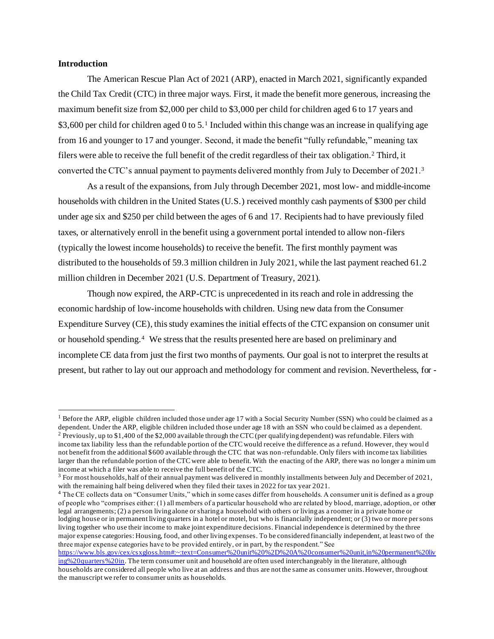# **Introduction**

The American Rescue Plan Act of 2021 (ARP), enacted in March 2021, significantly expanded the Child Tax Credit (CTC) in three major ways. First, it made the benefit more generous, increasing the maximum benefit size from \$2,000 per child to \$3,000 per child for children aged 6 to 17 years and \$3,600 per child for children aged 0 to 5.<sup>1</sup> Included within this change was an increase in qualifying age from 16 and younger to 17 and younger. Second, it made the benefit "fully refundable," meaning tax filers were able to receive the full benefit of the credit regardless of their tax obligation. <sup>2</sup> Third, it converted the CTC's annual payment to payments delivered monthly from July to December of 2021.<sup>3</sup>

As a result of the expansions, from July through December 2021, most low- and middle-income households with children in the United States (U.S.) received monthly cash payments of \$300 per child under age six and \$250 per child between the ages of 6 and 17. Recipients had to have previously filed taxes, or alternatively enroll in the benefit using a government portal intended to allow non-filers (typically the lowest income households) to receive the benefit. The first monthly payment was distributed to the households of 59.3 million children in July 2021, while the last payment reached 61.2 million children in December 2021 (U.S. Department of Treasury, 2021).

Though now expired, the ARP-CTC is unprecedented in its reach and role in addressing the economic hardship of low-income households with children. Using new data from the Consumer Expenditure Survey (CE), this study examines the initial effects of the CTC expansion on consumer unit or household spending.<sup>4</sup> We stress that the results presented here are based on preliminary and incomplete CE data from just the first two months of payments. Our goal is not to interpret the results at present, but rather to lay out our approach and methodology for comment and revision. Nevertheless, for -

<sup>4</sup> The CE collects data on "Consumer Units," which in some cases differ from households. A consumer unit is defined as a group of people who "comprises either: (1) all members of a particular household who are related by blood, marriage, adoption, or other legal arrangements; (2) a person living alone or sharing a household with others or living as a roomer in a private home or lodging house or in permanent living quarters in a hotel or motel, but who is financially independent; or (3) two or more per sons living together who use their income to make joint expenditure decisions. Financial independence is determined by the three major expense categories: Housing, food, and other living expenses. To be considered financially independent, at least two of the three major expense categories have to be provided entirely, or in part, by the respondent." See

<sup>&</sup>lt;sup>1</sup> Before the ARP, eligible children included those under age 17 with a Social Security Number (SSN) who could be claimed as a dependent. Under the ARP, eligible children included those under age 18 with an SSN who could be claimed as a dependent. <sup>2</sup> Previously, up to \$1,400 of the \$2,000 available through the CTC (per qualifying dependent) was refundable. Filers with income tax liability less than the refundable portion of the CTC would receive the difference as a refund. However, they woul d not benefit from the additional \$600 available through the CTC that was non-refundable. Only filers with income tax liabilities larger than the refundable portion of the CTC were able to benefit. With the enacting of the ARP, there was no longer a minim um income at which a filer was able to receive the full benefit of the CTC.

 $3$  For most households, half of their annual payment was delivered in monthly installments between July and December of 2021, with the remaining half being delivered when they filed their taxes in 2022 for tax year 2021.

[https://www.bls.gov/cex/csxgloss.htm#:~:text=Consumer%20unit%20%2D%20A%20consumer%20unit,in%20permanent%20liv](https://www.bls.gov/cex/csxgloss.htm#:~:text=Consumer%20unit%20%2D%20A%20consumer%20unit,in%20permanent%20living%20quarters%20in) [ing%20quarters%20in.](https://www.bls.gov/cex/csxgloss.htm#:~:text=Consumer%20unit%20%2D%20A%20consumer%20unit,in%20permanent%20living%20quarters%20in) The term consumer unit and household are often used interchangeably in the literature, although households are considered all people who live at an address and thus are not the same as consumer units. However, throughout the manuscript we refer to consumer units as households.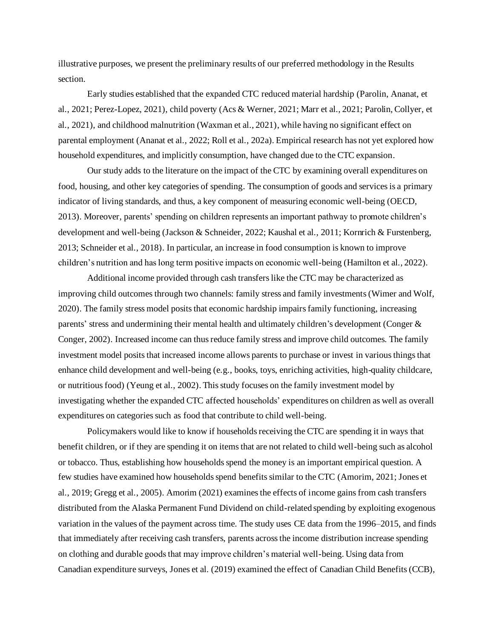illustrative purposes, we present the preliminary results of our preferred methodology in the Results section.

Early studies established that the expanded CTC reduced material hardship (Parolin, Ananat, et al., 2021; Perez-Lopez, 2021), child povert[y \(Acs & Werner, 2021; Marr et al., 2021; Parolin, Collyer, et](https://www.zotero.org/google-docs/?LlJ3pu)  al., 2021), and childhood malnutrition (Waxman et al., 2021), while having no significant effect on parental employment (Ananat et al., 2022; Roll et al., 202a). Empirical research has not yet explored how household expenditures, and implicitly consumption, have changed due to the CTC expansion.

Our study adds to the literature on the impact of the CTC by examining overall expenditures on food, housing, and other key categories of spending. The consumption of goods and services is a primary indicator of living standards, and thus, a key component of measuring economic well-bein[g \(OECD,](https://www.zotero.org/google-docs/?uMOHhv)  [2013\).](https://www.zotero.org/google-docs/?uMOHhv) Moreover, parents' spending on children represents an important pathway to promote children's development and well-being (Jackson & Schneider, 2022; Kaushal et al., 2011; Kornrich & Furstenberg, 2013; Schneider et al., 2018). In particular, an increase in food consumption is known to improve children's nutrition and has long term positive impacts on economic well-being (Hamilton et al., 2022).

Additional income provided through cash transfers like the CTC may be characterized as improving child outcomes through two channels: family stress and family investments (Wimer and Wolf, 2020). The family stress model posits that economic hardship impairs family functioning, increasing parents' stress and undermining their mental health and ultimately children's development (Conger & Conger, 2002). Increased income can thus reduce family stress and improve child outcomes. The family investment model posits that increased income allows parents to purchase or invest in various things that enhance child development and well-being (e.g., books, toys, enriching activities, high-quality childcare, or nutritious food) (Yeung et al., 2002). This study focuses on the family investment model by investigating whether the expanded CTC affected households' expenditures on children as well as overall expenditures on categories such as food that contribute to child well-being.

Policymakers would like to know if households receiving the CTC are spending it in ways that benefit children, or if they are spending it on items that are not related to child well-being such as alcohol or tobacco. Thus, establishing how households spend the money is an important empirical question. A few studies have examined how households spend benefits similar to the CTC (Amorim, 2021; Jones et al., 2019; Gregg et al., 2005). Amorim (2021) examines the effects of income gains from cash transfers distributed from the Alaska Permanent Fund Dividend on child-related spending by exploiting exogenous variation in the values of the payment across time. The study uses CE data from the 1996–2015, and finds that immediately after receiving cash transfers, parents across the income distribution increase spending on clothing and durable goods that may improve children's material well-being. Using data from Canadian expenditure surveys, Jones et al. (2019) examined the effect of Canadian Child Benefits (CCB),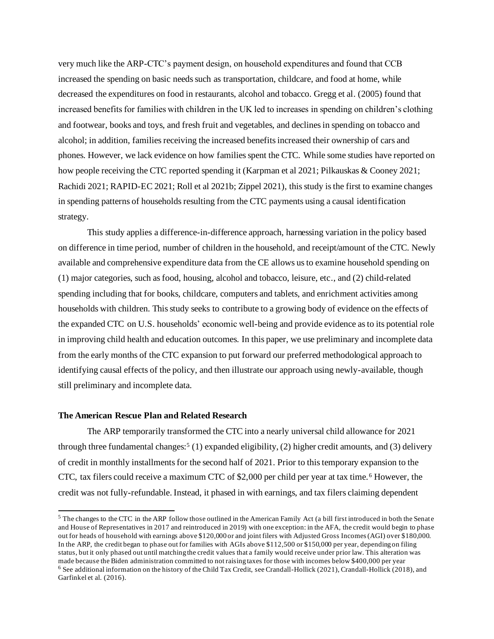very much like the ARP-CTC's payment design, on household expenditures and found that CCB increased the spending on basic needs such as transportation, childcare, and food at home, while decreased the expenditures on food in restaurants, alcohol and tobacco. Gregg et al. (2005) found that increased benefits for families with children in the UK led to increases in spending on children's clothing and footwear, books and toys, and fresh fruit and vegetables, and declines in spending on tobacco and alcohol; in addition, families receiving the increased benefits increased their ownership of cars and phones. However, we lack evidence on how families spent the CTC. While some studies have reported on how people receiving the CTC reported spending it (Karpman et al 2021; Pilkauskas & Cooney 2021; Rachidi 2021; RAPID-EC 2021; Roll et al 2021b; Zippel 2021), this study is the first to examine changes in spending patterns of households resulting from the CTC payments using a causal identification strategy.

This study applies a difference-in-difference approach, harnessing variation in the policy based on difference in time period, number of children in the household, and receipt/amount of the CTC. Newly available and comprehensive expenditure data from the CE allows us to examine household spending on (1) major categories, such as food, housing, alcohol and tobacco, leisure, etc., and (2) child-related spending including that for books, childcare, computers and tablets, and enrichment activities among households with children. This study seeks to contribute to a growing body of evidence on the effects of the expanded CTC on U.S. households' economic well-being and provide evidence as to its potential role in improving child health and education outcomes. In this paper, we use preliminary and incomplete data from the early months of the CTC expansion to put forward our preferred methodological approach to identifying causal effects of the policy, and then illustrate our approach using newly-available, though still preliminary and incomplete data.

## **The American Rescue Plan and Related Research**

The ARP temporarily transformed the CTC into a nearly universal child allowance for 2021 through three fundamental changes:<sup>5</sup> (1) expanded eligibility, (2) higher credit amounts, and (3) delivery of credit in monthly installments for the second half of 2021. Prior to this temporary expansion to the CTC, tax filers could receive a maximum CTC of \$2,000 per child per year at tax time.<sup>6</sup> However, the credit was not fully-refundable. Instead, it phased in with earnings, and tax filers claiming dependent

<sup>&</sup>lt;sup>5</sup> The changes to the CTC in the ARP follow those outlined in the American Family Act (a bill first introduced in both the Senate and House of Representatives in 2017 and reintroduced in 2019) with one exception: in the AFA, the credit would begin to phase out for heads of household with earnings above \$120,000 or and joint filers with Adjusted Gross Incomes (AGI) over \$180,000. In the ARP, the credit began to phase out for families with AGIs above \$112,500 or \$150,000 per year, depending on filing status, but it only phased out until matching the credit values that a family would receive under prior law. This alteration was made because the Biden administration committed to not raising taxes for those with incomes below \$400,000 per year <sup>6</sup> See additional information on the history of the Child Tax Credit, see Crandall-Hollick (2021), Crandall-Hollick (2018), and Garfinkel et al. (2016).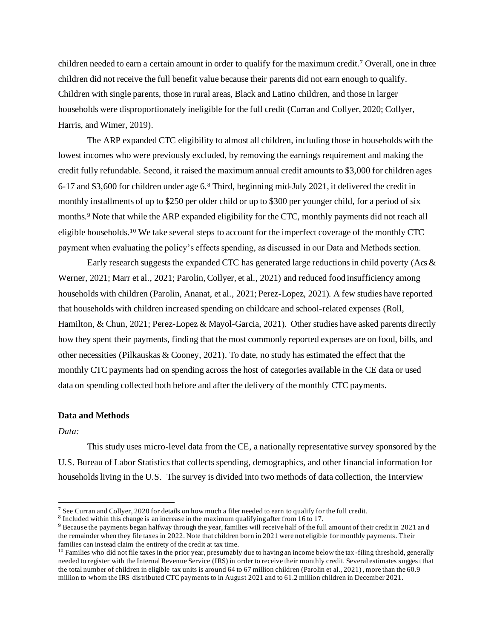children needed to earn a certain amount in order to qualify for the maximum credit.<sup>7</sup> Overall, one in three children did not receive the full benefit value because their parents did not earn enough to qualify. Children with single parents, those in rural areas, Black and Latino children, and those in larger households were disproportionately ineligible for the full credit (Curran and Collyer, 2020; Collyer, Harris, and Wimer, 2019).

The ARP expanded CTC eligibility to almost all children, including those in households with the lowest incomes who were previously excluded, by removing the earnings requirement and making the credit fully refundable. Second, it raised the maximum annual credit amounts to \$3,000 for children ages 6-17 and \$3,600 for children under age 6.<sup>8</sup> Third, beginning mid-July 2021, it delivered the credit in monthly installments of up to \$250 per older child or up to \$300 per younger child, for a period of six months.<sup>9</sup> Note that while the ARP expanded eligibility for the CTC, monthly payments did not reach all eligible households. <sup>10</sup> We take several steps to account for the imperfect coverage of the monthly CTC payment when evaluating the policy's effects spending, as discussed in our Data and Methods section.

Early research suggests the expanded CTC has generated large reductions in child poverty (Acs  $\&$ Werner, 2021; Marr et al., 2021; Parolin, Collyer, et al., 2021) and reduced food insufficiency among households with children (Parolin, Ananat, et al., 2021; Perez-Lopez, 2021). A few studies have reported that households with children increased spending on childcare and school-related expenses (Roll, Hamilton, & Chun, 2021; Perez-Lopez & Mayol-Garcia, 2021). Other studies have asked parents directly how they spent their payments, finding that the most commonly reported expenses are on food, bills, and other necessities (Pilkauskas & Cooney, 2021). To date, no study has estimated the effect that the monthly CTC payments had on spending across the host of categories available in the CE data or used data on spending collected both before and after the delivery of the monthly CTC payments.

## **Data and Methods**

*Data:*

This study uses micro-level data from the CE, a nationally representative survey sponsored by the U.S. Bureau of Labor Statistics that collects spending, demographics, and other financial information for households living in the U.S. The survey is divided into two methods of data collection, the Interview

<sup>&</sup>lt;sup>7</sup> See Curran and Collyer, 2020 for details on how much a filer needed to earn to qualify for the full credit.

<sup>&</sup>lt;sup>8</sup> Included within this change is an increase in the maximum qualifying after from 16 to 17.

<sup>&</sup>lt;sup>9</sup> Because the payments began halfway through the year, families will receive half of the full amount of their credit in 2021 and the remainder when they file taxes in 2022. Note that children born in 2021 were not eligible for monthly payments. Their families can instead claim the entirety of the credit at tax time.

 $10$  Families who did not file taxes in the prior year, presumably due to having an income below the tax-filing threshold, generally needed to register with the Internal Revenue Service (IRS) in order to receive their monthly credit. Several estimates sugges t that the total number of children in eligible tax units is around 64 to 67 million children (Parolin et al., 2021), more than the 60.9 million to whom the IRS distributed CTC payments to in August 2021 and to 61.2 million children in December 2021.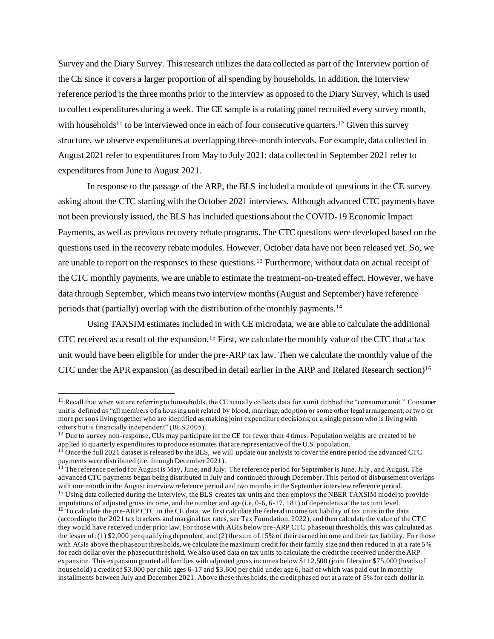Survey and the Diary Survey. This research utilizes the data collected as part of the Interview portion of the CE since it covers a larger proportion of all spending by households. In addition, the Interview reference period is the three months prior to the interview as opposed to the Diary Survey, which is used to collect expenditures during a week. The CE sample is a rotating panel recruited every survey month, with households<sup>11</sup> to be interviewed once in each of four consecutive quarters.<sup>12</sup> Given this survey structure, we observe expenditures at overlapping three-month intervals. For example, data collected in August 2021 refer to expenditures from May to July 2021; data collected in September 2021 refer to expenditures from June to August 2021.

In response to the passage of the ARP, the BLS included a module of questions in the CE survey asking about the CTC starting with the October 2021 interviews. Although advanced CTC payments have not been previously issued, the BLS has included questions about the COVID-19 Economic Impact Payments, as well as previous recovery rebate programs. The CTC questions were developed based on the questions used in the recovery rebate modules. However, October data have not been released yet. So, we are unable to report on the responses to these questions.<sup>13</sup> Furthermore, without data on actual receipt of the CTC monthly payments, we are unable to estimate the treatment-on-treated effect. However, we have data through September, which means two interview months (August and September) have reference periods that (partially) overlap with the distribution of the monthly payments.<sup>14</sup>

Using TAXSIM estimates included in with CE microdata, we are able to calculate the additional CTC received as a result of the expansion.<sup>15</sup> First, we calculate the monthly value of the CTC that a tax unit would have been eligible for under the pre-ARP tax law. Then we calculate the monthly value of the CTC under the APR expansion (as described in detail earlier in the ARP and Related Research section)<sup>16</sup>

 $11$  Recall that when we are referring to households, the CE actually collects data for a unit dubbed the "consumer unit." Consumer unit is defined as "all members of a housing unit related by blood, marriage, adoption or some other legal arrangement; or two or more persons living together who are identified as making joint expenditure decisions; or a single person who is living with others but is financially independent" (BLS 2005).

 $12$  Due to survey non-response, CUs may participate int the CE for fewer than 4 times. Population weights are created to be applied to quarterly expenditures to produce estimates that are representative of the U.S. population.

<sup>13</sup> Once the full 2021 dataset is released by the BLS, we will update our analysis to cover the entire period the advanced CTC payments were distributed (i.e. through December 2021).

<sup>&</sup>lt;sup>14</sup> The reference period for August is May, June, and July. The reference period for September is June, July, and August. The advanced CTC payments began being distributed in July and continued through December. This period of disbursement overlaps with one month in the August interview reference period and two months in the September interview reference period. <sup>15</sup> Using data collected during the Interview, the BLS creates tax units and then employs the NBER TAXSIM model to provide

imputations of adjusted gross income, and the number and age (i.e, 0-6, 6-17, 18+) of dependents at the tax unit level. <sup>16</sup> To calculate the pre-ARP CTC in the CE data, we first calculate the federal income tax liability of tax units in the data (according to the 2021 tax brackets and marginal tax rates, see Tax Foundation, 2022), and then calculate the value of the CTC they would have received under prior law. For those with AGIs below pre-ARP CTC phaseout thresholds, this was calculated as the lesser of: (1) \$2,000 per qualifying dependent, and (2) the sum of 15% of their earned income and their tax liability. Fo r those with AGIs above the phaseout thresholds, we calculate the maximum credit for their family size and then reduced in at a rate 5% for each dollar over the phaseout threshold. We also used data on tax units to calculate the credit the received under the ARP expansion. This expansion granted all families with adjusted gross incomes below \$112,500 (joint filers) or \$75,000 (heads of household) a credit of \$3,000 per child ages 6-17 and \$3,600 per child under age 6, half of which was paid out in monthly installments between July and December 2021. Above these thresholds, the credit phased out at a rate of 5% for each dollar in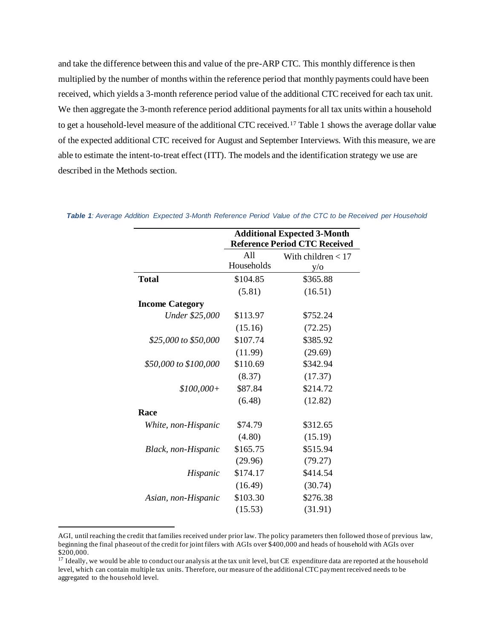and take the difference between this and value of the pre-ARP CTC. This monthly difference is then multiplied by the number of months within the reference period that monthly payments could have been received, which yields a 3-month reference period value of the additional CTC received for each tax unit. We then aggregate the 3-month reference period additional payments for all tax units within a household to get a household-level measure of the additional CTC received.<sup>17</sup> Table 1 shows the average dollar value of the expected additional CTC received for August and September Interviews. With this measure, we are able to estimate the intent-to-treat effect (ITT). The models and the identification strategy we use are described in the Methods section.

|                        |                                      | <b>Additional Expected 3-Month</b> |  |  |  |
|------------------------|--------------------------------------|------------------------------------|--|--|--|
|                        | <b>Reference Period CTC Received</b> |                                    |  |  |  |
|                        | A11                                  | With children $< 17$               |  |  |  |
|                        | Households                           | $y/\sigma$                         |  |  |  |
| <b>Total</b>           | \$104.85                             | \$365.88                           |  |  |  |
|                        | (5.81)                               | (16.51)                            |  |  |  |
| <b>Income Category</b> |                                      |                                    |  |  |  |
| <b>Under \$25,000</b>  | \$113.97                             | \$752.24                           |  |  |  |
|                        | (15.16)                              | (72.25)                            |  |  |  |
| \$25,000 to \$50,000   | \$107.74                             | \$385.92                           |  |  |  |
|                        | (11.99)                              | (29.69)                            |  |  |  |
| \$50,000 to \$100,000  | \$110.69                             | \$342.94                           |  |  |  |
|                        | (8.37)                               | (17.37)                            |  |  |  |
| $$100,000+$            | \$87.84                              | \$214.72                           |  |  |  |
|                        | (6.48)                               | (12.82)                            |  |  |  |
| Race                   |                                      |                                    |  |  |  |
| White, non-Hispanic    | \$74.79                              | \$312.65                           |  |  |  |
|                        | (4.80)                               | (15.19)                            |  |  |  |
| Black, non-Hispanic    | \$165.75                             | \$515.94                           |  |  |  |
|                        | (29.96)                              | (79.27)                            |  |  |  |
| Hispanic               | \$174.17                             | \$414.54                           |  |  |  |
|                        | (16.49)                              | (30.74)                            |  |  |  |
| Asian, non-Hispanic    | \$103.30                             | \$276.38                           |  |  |  |
|                        | (15.53)                              | (31.91)                            |  |  |  |
|                        |                                      |                                    |  |  |  |

*Table 1: Average Addition Expected 3-Month Reference Period Value of the CTC to be Received per Household*

AGI, until reaching the credit that families received under prior law. The policy parameters then followed those of previous law, beginning the final phaseout of the credit for joint filers with AGIs over \$400,000 and heads of household with AGIs over \$200,000.

<sup>&</sup>lt;sup>17</sup> Ideally, we would be able to conduct our analysis at the tax unit level, but CE expenditure data are reported at the household level, which can contain multiple tax units. Therefore, our measure of the additional CTC payment received needs to be aggregated to the household level.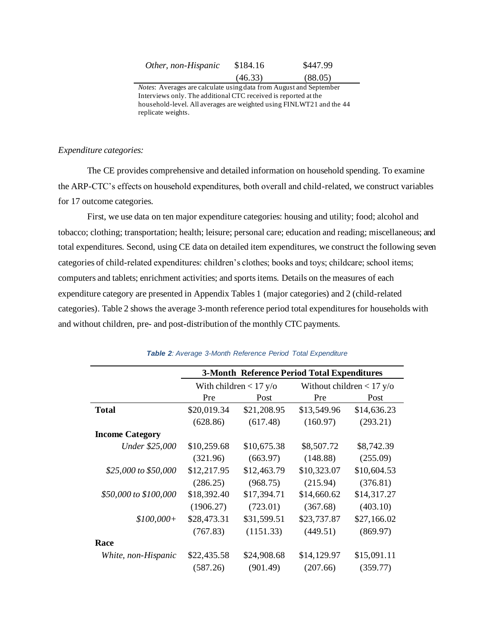| Other, non-Hispanic | \$184.16 | \$447.99 |
|---------------------|----------|----------|
|                     | (46.33)  | (88.05)  |

*Notes*: Averages are calculate using data from August and September Interviews only. The additional CTC received is reported at the household-level. All averages are weighted using FINLWT21 and the 44 replicate weights.

# *Expenditure categories:*

The CE provides comprehensive and detailed information on household spending. To examine the ARP-CTC's effects on household expenditures, both overall and child-related, we construct variables for 17 outcome categories.

First, we use data on ten major expenditure categories: housing and utility; food; alcohol and tobacco; clothing; transportation; health; leisure; personal care; education and reading; miscellaneous; and total expenditures. Second, using CE data on detailed item expenditures, we construct the following seven categories of child-related expenditures: children's clothes; books and toys; childcare; school items; computers and tablets; enrichment activities; and sports items. Details on the measures of each expenditure category are presented in Appendix Tables 1 (major categories) and 2 (child-related categories). Table 2 shows the average 3-month reference period total expenditures for households with and without children, pre- and post-distribution of the monthly CTC payments.

|                        | <b>3-Month Reference Period Total Expenditures</b> |                          |                             |             |  |  |
|------------------------|----------------------------------------------------|--------------------------|-----------------------------|-------------|--|--|
|                        |                                                    | With children $< 17$ y/o | Without children $< 17$ y/o |             |  |  |
|                        | Pre                                                | Post                     | Pre                         | Post        |  |  |
| <b>Total</b>           | \$20,019.34                                        | \$21,208.95              | \$13,549.96                 | \$14,636.23 |  |  |
|                        | (628.86)                                           | (617.48)                 | (160.97)                    | (293.21)    |  |  |
| <b>Income Category</b> |                                                    |                          |                             |             |  |  |
| Under \$25,000         | \$10,259.68                                        | \$10,675.38              | \$8,507.72                  | \$8,742.39  |  |  |
|                        | (321.96)                                           | (663.97)                 | (148.88)                    | (255.09)    |  |  |
| \$25,000 to \$50,000   | \$12,217.95                                        | \$12,463.79              | \$10,323.07                 | \$10,604.53 |  |  |
|                        | (286.25)                                           | (968.75)                 | (215.94)                    | (376.81)    |  |  |
| \$50,000 to \$100,000  | \$18,392.40                                        | \$17,394.71              | \$14,660.62                 | \$14,317.27 |  |  |
|                        | (1906.27)                                          | (723.01)                 | (367.68)                    | (403.10)    |  |  |
| $$100,000+$            | \$28,473.31                                        | \$31,599.51              | \$23,737.87                 | \$27,166.02 |  |  |
|                        | (767.83)                                           | (1151.33)                | (449.51)                    | (869.97)    |  |  |
| Race                   |                                                    |                          |                             |             |  |  |
| White, non-Hispanic    | \$22,435.58                                        | \$24,908.68              | \$14,129.97                 | \$15,091.11 |  |  |
|                        | (587.26)                                           | (901.49)                 | (207.66)                    | (359.77)    |  |  |

#### *Table 2: Average 3-Month Reference Period Total Expenditure*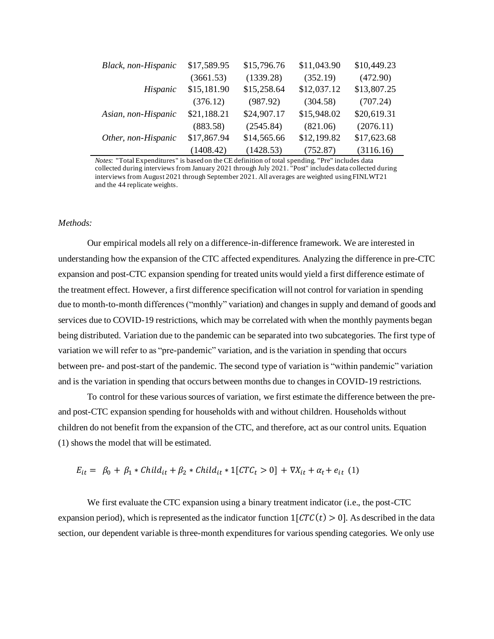| Black, non-Hispanic | \$17,589.95 | \$15,796.76 | \$11,043.90 | \$10,449.23 |
|---------------------|-------------|-------------|-------------|-------------|
|                     | (3661.53)   | (1339.28)   | (352.19)    | (472.90)    |
| Hispanic            | \$15,181.90 | \$15,258.64 | \$12,037.12 | \$13,807.25 |
|                     | (376.12)    | (987.92)    | (304.58)    | (707.24)    |
| Asian, non-Hispanic | \$21,188.21 | \$24,907.17 | \$15,948.02 | \$20,619.31 |
|                     | (883.58)    | (2545.84)   | (821.06)    | (2076.11)   |
| Other, non-Hispanic | \$17,867.94 | \$14,565.66 | \$12,199.82 | \$17,623.68 |
|                     | (1408.42)   | (1428.53)   | (752.87)    | (3116.16)   |

*Notes*: "Total Expenditures" is based on the CE definition of total spending. "Pre" includes data collected during interviews from January 2021 through July 2021. "Post" includes data collected during interviews from August 2021 through September 2021. All averages are weighted using FINLWT21 and the 44 replicate weights.

## *Methods:*

Our empirical models all rely on a difference-in-difference framework. We are interested in understanding how the expansion of the CTC affected expenditures. Analyzing the difference in pre-CTC expansion and post-CTC expansion spending for treated units would yield a first difference estimate of the treatment effect. However, a first difference specification will not control for variation in spending due to month-to-month differences ("monthly" variation) and changes in supply and demand of goods and services due to COVID-19 restrictions, which may be correlated with when the monthly payments began being distributed. Variation due to the pandemic can be separated into two subcategories. The first type of variation we will refer to as "pre-pandemic" variation, and is the variation in spending that occurs between pre- and post-start of the pandemic. The second type of variation is "within pandemic" variation and is the variation in spending that occurs between months due to changes in COVID-19 restrictions.

To control for these various sources of variation, we first estimate the difference between the preand post-CTC expansion spending for households with and without children. Households without children do not benefit from the expansion of the CTC, and therefore, act as our control units. Equation (1) shows the model that will be estimated.

$$
E_{it} = \beta_0 + \beta_1 * Child_{it} + \beta_2 * Child_{it} * 1[CTC_t > 0] + \nabla X_{it} + \alpha_t + e_{it} \tag{1}
$$

We first evaluate the CTC expansion using a binary treatment indicator (i.e., the post-CTC expansion period), which is represented as the indicator function  $1[CTC(t) > 0]$ . As described in the data section, our dependent variable is three-month expenditures for various spending categories. We only use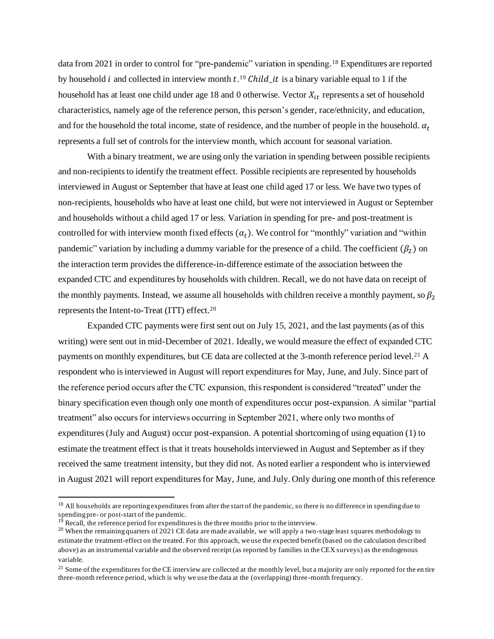data from 2021 in order to control for "pre-pandemic" variation in spending.<sup>18</sup> Expenditures are reported by household *i* and collected in interview month  $t^{19}$  Child  $\mu$  is a binary variable equal to 1 if the household has at least one child under age 18 and 0 otherwise. Vector  $X_{it}$  represents a set of household characteristics, namely age of the reference person, this person's gender, race/ethnicity, and education, and for the household the total income, state of residence, and the number of people in the household.  $\alpha_t$ represents a full set of controls for the interview month, which account for seasonal variation.

With a binary treatment, we are using only the variation in spending between possible recipients and non-recipients to identify the treatment effect. Possible recipients are represented by households interviewed in August or September that have at least one child aged 17 or less. We have two types of non-recipients, households who have at least one child, but were not interviewed in August or September and households without a child aged 17 or less. Variation in spending for pre- and post-treatment is controlled for with interview month fixed effects  $(\alpha_t)$ . We control for "monthly" variation and "within pandemic" variation by including a dummy variable for the presence of a child. The coefficient  $(\beta_2)$  on the interaction term provides the difference-in-difference estimate of the association between the expanded CTC and expenditures by households with children. Recall, we do not have data on receipt of the monthly payments. Instead, we assume all households with children receive a monthly payment, so  $\beta_2$ represents the Intent-to-Treat (ITT) effect.<sup>20</sup>

Expanded CTC payments were first sent out on July 15, 2021, and the last payments (as of this writing) were sent out in mid-December of 2021. Ideally, we would measure the effect of expanded CTC payments on monthly expenditures, but CE data are collected at the 3-month reference period level.<sup>21</sup> A respondent who is interviewed in August will report expenditures for May, June, and July. Since part of the reference period occurs after the CTC expansion, this respondent is considered "treated" under the binary specification even though only one month of expenditures occur post-expansion. A similar "partial treatment" also occurs for interviews occurring in September 2021, where only two months of expenditures (July and August) occur post-expansion. A potential shortcoming of using equation (1) to estimate the treatment effect is that it treats households interviewed in August and September as if they received the same treatment intensity, but they did not. As noted earlier a respondent who is interviewed in August 2021 will report expenditures for May, June, and July. Only during one month of this reference

<sup>&</sup>lt;sup>18</sup> All households are reporting expenditures from after the start of the pandemic, so there is no difference in spending due to spending pre- or post-start of the pandemic.

<sup>&</sup>lt;sup>19</sup> Recall, the reference period for expenditures is the three months prior to the interview.

<sup>&</sup>lt;sup>20</sup> When the remaining quarters of 2021 CE data are made available, we will apply a two-stage least squares methodology to estimate the treatment-effect on the treated. For this approach, we use the expected benefit (based on the calculation described above) as an instrumental variable and the observed receipt (as reported by families in the CEX surveys) as the endogenous variable.

 $21$  Some of the expenditures for the CE interview are collected at the monthly level, but a majority are only reported for the en tire three-month reference period, which is why we use the data at the (overlapping) three-month frequency.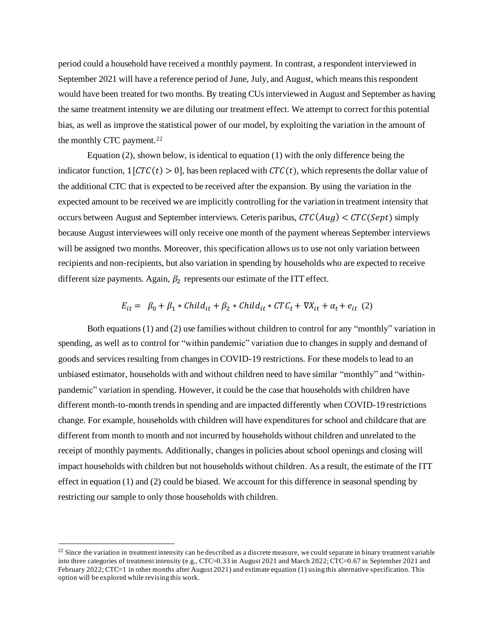period could a household have received a monthly payment. In contrast, a respondent interviewed in September 2021 will have a reference period of June, July, and August, which means this respondent would have been treated for two months. By treating CUs interviewed in August and September as having the same treatment intensity we are diluting our treatment effect. We attempt to correct for this potential bias, as well as improve the statistical power of our model, by exploiting the variation in the amount of the monthly CTC payment.<sup>22</sup>

Equation (2), shown below, is identical to equation (1) with the only difference being the indicator function,  $1[CTC(t) > 0]$ , has been replaced with  $CTC(t)$ , which represents the dollar value of the additional CTC that is expected to be received after the expansion. By using the variation in the expected amount to be received we are implicitly controlling for the variation in treatment intensity that occurs between August and September interviews. Ceteris paribus,  $CTC(Aug) < CTC(Sept)$  simply because August interviewees will only receive one month of the payment whereas September interviews will be assigned two months. Moreover, this specification allows us to use not only variation between recipients and non-recipients, but also variation in spending by households who are expected to receive different size payments. Again,  $\beta_2$  represents our estimate of the ITT effect.

$$
E_{it} = \beta_0 + \beta_1 * Child_{it} + \beta_2 * Child_{it} * CTC_t + \nabla X_{it} + \alpha_t + e_{it} \tag{2}
$$

Both equations (1) and (2) use families without children to control for any "monthly" variation in spending, as well as to control for "within pandemic" variation due to changes in supply and demand of goods and services resulting from changes in COVID-19 restrictions. For these models to lead to an unbiased estimator, households with and without children need to have similar "monthly" and "withinpandemic" variation in spending. However, it could be the case that households with children have different month-to-month trends in spending and are impacted differently when COVID-19 restrictions change. For example, households with children will have expenditures for school and childcare that are different from month to month and not incurred by households without children and unrelated to the receipt of monthly payments. Additionally, changes in policies about school openings and closing will impact households with children but not households without children. As a result, the estimate of the ITT effect in equation (1) and (2) could be biased. We account for this difference in seasonal spending by restricting our sample to only those households with children.

 $22$  Since the variation in treatment intensity can be described as a discrete measure, we could separate in binary treatment variable into three categories of treatment intensity (e.g., CTC=0.33 in August 2021 and March 2022; CTC=0.67 in September 2021 and February 2022; CTC=1 in other months after August 2021) and estimate equation (1) using this alternative specification. This option will be explored while revising this work.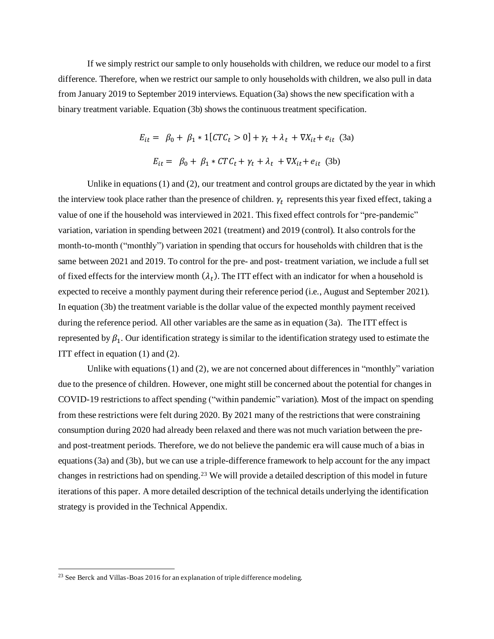If we simply restrict our sample to only households with children, we reduce our model to a first difference. Therefore, when we restrict our sample to only households with children, we also pull in data from January 2019 to September 2019 interviews. Equation (3a) shows the new specification with a binary treatment variable. Equation (3b) shows the continuous treatment specification.

$$
E_{it} = \beta_0 + \beta_1 * 1[CTC_t > 0] + \gamma_t + \lambda_t + \nabla X_{it} + e_{it} \quad (3a)
$$
  

$$
E_{it} = \beta_0 + \beta_1 * CTC_t + \gamma_t + \lambda_t + \nabla X_{it} + e_{it} \quad (3b)
$$

Unlike in equations  $(1)$  and  $(2)$ , our treatment and control groups are dictated by the year in which the interview took place rather than the presence of children.  $\gamma_t$  represents this year fixed effect, taking a value of one if the household was interviewed in 2021. This fixed effect controls for "pre-pandemic" variation, variation in spending between 2021 (treatment) and 2019 (control). It also controls for the month-to-month ("monthly") variation in spending that occurs for households with children that is the same between 2021 and 2019. To control for the pre- and post- treatment variation, we include a full set of fixed effects for the interview month  $(\lambda_t)$ . The ITT effect with an indicator for when a household is expected to receive a monthly payment during their reference period (i.e., August and September 2021). In equation (3b) the treatment variable is the dollar value of the expected monthly payment received during the reference period. All other variables are the same as in equation (3a). The ITT effect is represented by  $\beta_1$ . Our identification strategy is similar to the identification strategy used to estimate the ITT effect in equation (1) and (2).

Unlike with equations (1) and (2), we are not concerned about differences in "monthly" variation due to the presence of children. However, one might still be concerned about the potential for changes in COVID-19 restrictions to affect spending ("within pandemic" variation). Most of the impact on spending from these restrictions were felt during 2020. By 2021 many of the restrictions that were constraining consumption during 2020 had already been relaxed and there was not much variation between the preand post-treatment periods. Therefore, we do not believe the pandemic era will cause much of a bias in equations (3a) and (3b), but we can use a triple-difference framework to help account for the any impact changes in restrictions had on spending.<sup>23</sup> We will provide a detailed description of this model in future iterations of this paper. A more detailed description of the technical details underlying the identification strategy is provided in the Technical Appendix.

<sup>&</sup>lt;sup>23</sup> See Berck and Villas-Boas 2016 for an explanation of triple difference modeling.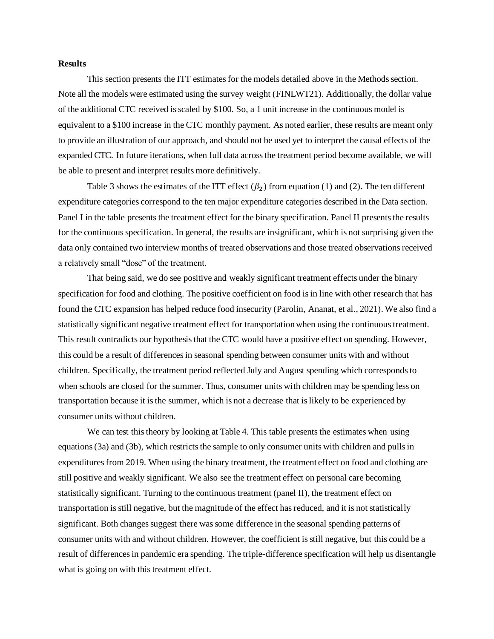## **Results**

This section presents the ITT estimates for the models detailed above in the Methods section. Note all the models were estimated using the survey weight (FINLWT21). Additionally, the dollar value of the additional CTC received is scaled by \$100. So, a 1 unit increase in the continuous model is equivalent to a \$100 increase in the CTC monthly payment. As noted earlier, these results are meant only to provide an illustration of our approach, and should not be used yet to interpret the causal effects of the expanded CTC. In future iterations, when full data across the treatment period become available, we will be able to present and interpret results more definitively.

Table 3 shows the estimates of the ITT effect  $(\beta_2)$  from equation (1) and (2). The ten different expenditure categories correspond to the ten major expenditure categories described in the Data section. Panel I in the table presents the treatment effect for the binary specification. Panel II presents the results for the continuous specification. In general, the results are insignificant, which is not surprising given the data only contained two interview months of treated observations and those treated observations received a relatively small "dose" of the treatment.

That being said, we do see positive and weakly significant treatment effects under the binary specification for food and clothing. The positive coefficient on food is in line with other research that has found the CTC expansion has helped reduce food insecurity (Parolin, Ananat, et al., 2021). We also find a statistically significant negative treatment effect for transportation when using the continuous treatment. This result contradicts our hypothesis that the CTC would have a positive effect on spending. However, this could be a result of differences in seasonal spending between consumer units with and without children. Specifically, the treatment period reflected July and August spending which corresponds to when schools are closed for the summer. Thus, consumer units with children may be spending less on transportation because it is the summer, which is not a decrease that is likely to be experienced by consumer units without children.

We can test this theory by looking at Table 4. This table presents the estimates when using equations (3a) and (3b), which restricts the sample to only consumer units with children and pulls in expenditures from 2019. When using the binary treatment, the treatment effect on food and clothing are still positive and weakly significant. We also see the treatment effect on personal care becoming statistically significant. Turning to the continuous treatment (panel II), the treatment effect on transportation is still negative, but the magnitude of the effect has reduced, and it is not statistically significant. Both changes suggest there was some difference in the seasonal spending patterns of consumer units with and without children. However, the coefficient is still negative, but this could be a result of differences in pandemic era spending. The triple-difference specification will help us disentangle what is going on with this treatment effect.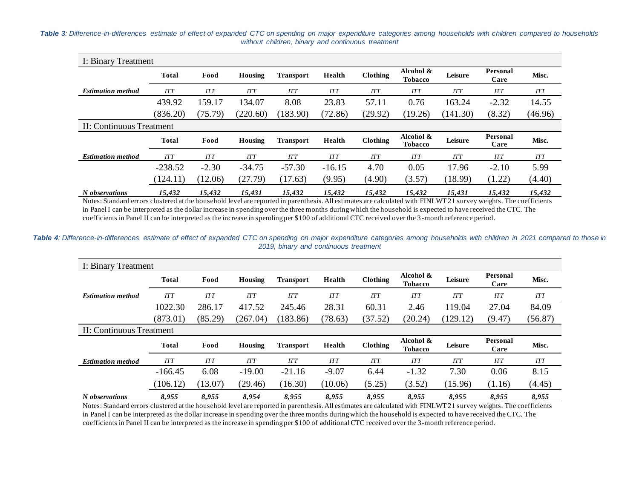*Table 3: Difference-in-differences estimate of effect of expanded CTC on spending on major expenditure categories among households with children compared to households without children, binary and continuous treatment*

| I: Binary Treatment      |              |            |            |                  |            |                 |                             |            |                  |            |
|--------------------------|--------------|------------|------------|------------------|------------|-----------------|-----------------------------|------------|------------------|------------|
|                          | <b>Total</b> | Food       | Housing    | <b>Transport</b> | Health     | <b>Clothing</b> | Alcohol &<br><b>Tobacco</b> | Leisure    | Personal<br>Care | Misc.      |
| <b>Estimation method</b> | <b>ITT</b>   | <b>ITT</b> | <b>ITT</b> | <b>ITT</b>       | <b>ITT</b> | <b>ITT</b>      | <b>ITT</b>                  | <b>ITT</b> | <b>ITT</b>       | <b>ITT</b> |
|                          | 439.92       | 159.17     | 134.07     | 8.08             | 23.83      | 57.11           | 0.76                        | 163.24     | $-2.32$          | 14.55      |
|                          | (836.20)     | (75.79)    | (220.60)   | (183.90)         | (72.86)    | (29.92)         | (19.26)                     | (141.30)   | (8.32)           | (46.96)    |
| II: Continuous Treatment |              |            |            |                  |            |                 |                             |            |                  |            |
|                          | <b>Total</b> | Food       | Housing    | <b>Transport</b> | Health     | <b>Clothing</b> | Alcohol &<br><b>Tobacco</b> | Leisure    | Personal<br>Care | Misc.      |
| <b>Estimation method</b> |              |            |            |                  |            |                 |                             |            |                  |            |
|                          | <b>ITT</b>   | <b>ITT</b> | <b>ITT</b> | <b>ITT</b>       | <b>ITT</b> | <b>ITT</b>      | <b>ITT</b>                  | <b>ITT</b> | <b>ITT</b>       | <b>ITT</b> |
|                          | $-238.52$    | $-2.30$    | $-34.75$   | $-57.30$         | $-16.15$   | 4.70            | 0.05                        | 17.96      | $-2.10$          | 5.99       |
|                          | (124.11)     | (12.06)    | (27.79)    | (17.63)          | (9.95)     | (4.90)          | (3.57)                      | (18.99)    | (1.22)           | (4.40)     |

Notes: Standard errors clustered at the household level are reported in parenthesis. All estimates are calculated with FINLWT21 survey weights. The coefficients in Panel I can be interpreted as the dollar increase in spending over the three months during which the household is expected to have received the CTC. The coefficients in Panel II can be interpreted as the increase in spending per \$100 of additional CTC received over the 3 -month reference period.

Table 4: Difference-in-differences estimate of effect of expanded CTC on spending on major expenditure categories among households with children in 2021 compared to those in *2019, binary and continuous treatment*

| I: Binary Treatment      |              |            |            |                  |            |                 |                             |          |                  |            |
|--------------------------|--------------|------------|------------|------------------|------------|-----------------|-----------------------------|----------|------------------|------------|
|                          | <b>Total</b> | Food       | Housing    | <b>Transport</b> | Health     | <b>Clothing</b> | Alcohol &<br><b>Tobacco</b> | Leisure  | Personal<br>Care | Misc.      |
| <b>Estimation method</b> | <b>ITT</b>   | <b>ITT</b> | <b>ITT</b> | <b>ITT</b>       | <b>ITT</b> | <b>ITT</b>      | <b>ITT</b>                  | ITT      | ITT              | <b>ITT</b> |
|                          | 1022.30      | 286.17     | 417.52     | 245.46           | 28.31      | 60.31           | 2.46                        | 119.04   | 27.04            | 84.09      |
|                          | (873.01)     | (85.29)    | (267.04)   | (183.86)         | (78.63)    | (37.52)         | (20.24)                     | (129.12) | (9.47)           | (56.87)    |
| II: Continuous Treatment |              |            |            |                  |            |                 |                             |          |                  |            |
|                          | <b>Total</b> | Food       | Housing    | <b>Transport</b> | Health     | <b>Clothing</b> | Alcohol &<br><b>Tobacco</b> | Leisure  | Personal<br>Care | Misc.      |
| <b>Estimation method</b> | <b>ITT</b>   | ITT        | <b>ITT</b> | <b>ITT</b>       | <b>ITT</b> | <b>ITT</b>      | ITT                         | ITT      | ITT              | <b>ITT</b> |
|                          | $-166.45$    | 6.08       | $-19.00$   | $-21.16$         | $-9.07$    | 6.44            | $-1.32$                     | 7.30     | 0.06             | 8.15       |
|                          | (106.12)     | (13.07)    | (29.46)    | (16.30)          | (10.06)    | (5.25)          | (3.52)                      | (15.96)  | (1.16)           | (4.45)     |
| N observations           | 8.955        | 8.955      | 8.954      | 8.955            | 8.955      | 8.955           | 8.955                       | 8.955    | 8.955            | 8,955      |

Notes: Standard errors clustered at the household level are reported in parenthesis. All estimates are calculated with FINLWT21 survey weights. The coefficients in Panel I can be interpreted as the dollar increase in spending over the three months during which the household is expected to have received the CTC. The coefficients in Panel II can be interpreted as the increase in spending per \$100 of additional CTC received over the 3-month reference period.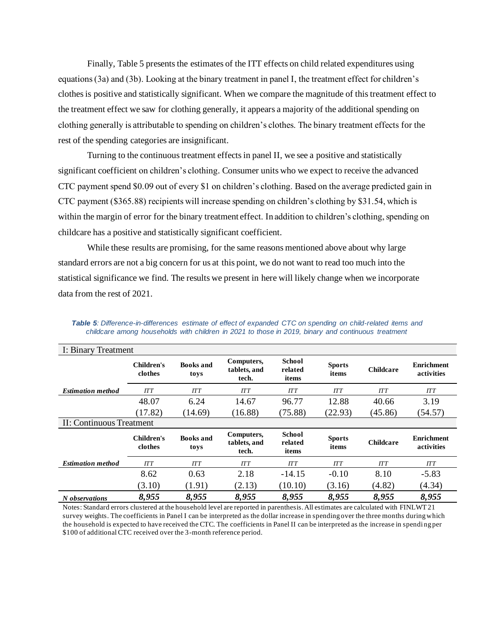Finally, Table 5 presents the estimates of the ITT effects on child related expenditures using equations (3a) and (3b). Looking at the binary treatment in panel I, the treatment effect for children's clothes is positive and statistically significant. When we compare the magnitude of this treatment effect to the treatment effect we saw for clothing generally, it appears a majority of the additional spending on clothing generally is attributable to spending on children's clothes. The binary treatment effects for the rest of the spending categories are insignificant.

Turning to the continuous treatment effects in panel II, we see a positive and statistically significant coefficient on children's clothing. Consumer units who we expect to receive the advanced CTC payment spend \$0.09 out of every \$1 on children's clothing. Based on the average predicted gain in CTC payment (\$365.88) recipients will increase spending on children's clothing by \$31.54, which is within the margin of error for the binary treatment effect. In addition to children's clothing, spending on childcare has a positive and statistically significant coefficient.

While these results are promising, for the same reasons mentioned above about why large standard errors are not a big concern for us at this point, we do not want to read too much into the statistical significance we find. The results we present in here will likely change when we incorporate data from the rest of 2021.

| I: Binary Treatment      |                              |                          |                                     |                                   |                        |                  |                                 |
|--------------------------|------------------------------|--------------------------|-------------------------------------|-----------------------------------|------------------------|------------------|---------------------------------|
|                          | <b>Children's</b><br>clothes | <b>Books</b> and<br>toys | Computers,<br>tablets, and<br>tech. | <b>School</b><br>related<br>items | <b>Sports</b><br>items | <b>Childcare</b> | <b>Enrichment</b><br>activities |
| <b>Estimation method</b> | <b>ITT</b>                   | <b>ITT</b>               | <b>ITT</b>                          | <b>ITT</b>                        | <b>ITT</b>             | <b>ITT</b>       | <b>ITT</b>                      |
|                          | 48.07                        | 6.24                     | 14.67                               | 96.77                             | 12.88                  | 40.66            | 3.19                            |
|                          | (17.82)                      | (14.69)                  | (16.88)                             | (75.88)                           | (22.93)                | (45.86)          | (54.57)                         |
| II: Continuous Treatment |                              |                          |                                     |                                   |                        |                  |                                 |
|                          | <b>Children's</b><br>clothes | <b>Books</b> and<br>toys | Computers,<br>tablets, and<br>tech. | <b>School</b><br>related<br>items | <b>Sports</b><br>items | <b>Childcare</b> | <b>Enrichment</b><br>activities |
| <b>Estimation method</b> | <b>ITT</b>                   | <b>ITT</b>               | <b>ITT</b>                          | <b>ITT</b>                        | <b>ITT</b>             | <b>ITT</b>       | ITT                             |
|                          | 8.62                         | 0.63                     | 2.18                                | $-14.15$                          | $-0.10$                | 8.10             | $-5.83$                         |
|                          | (3.10)                       | (1.91)                   | (2.13)                              | (10.10)                           | (3.16)                 | (4.82)           | (4.34)                          |
| N observations           | 8,955                        | 8,955                    | 8,955                               | 8,955                             | 8,955                  | 8,955            | 8,955                           |

*Table 5: Difference-in-differences estimate of effect of expanded CTC on spending on child-related items and childcare among households with children in 2021 to those in 2019, binary and continuous treatment*

Notes: Standard errors clustered at the household level are reported in parenthesis. All estimates are calculated with FINLWT 21 survey weights. The coefficients in Panel I can be interpreted as the dollar increase in spending over the three months during which the household is expected to have received the CTC. The coefficients in Panel II can be interpreted as the increase in spendi ng per \$100 of additional CTC received over the 3-month reference period.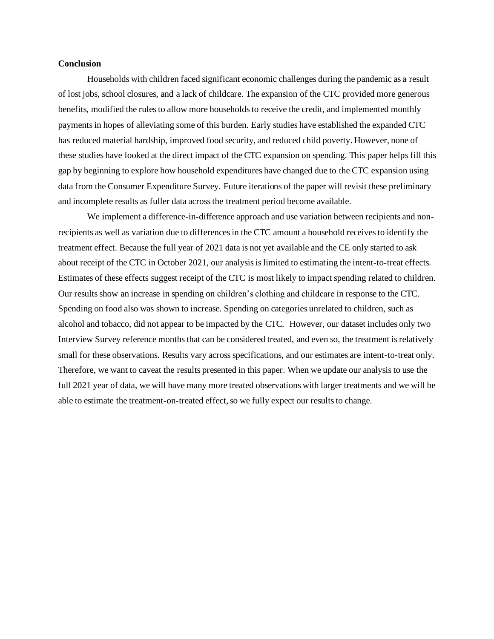## **Conclusion**

Households with children faced significant economic challenges during the pandemic as a result of lost jobs, school closures, and a lack of childcare. The expansion of the CTC provided more generous benefits, modified the rules to allow more households to receive the credit, and implemented monthly payments in hopes of alleviating some of this burden. Early studies have established the expanded CTC has reduced material hardship, improved food security, and reduced child poverty. However, none of these studies have looked at the direct impact of the CTC expansion on spending. This paper helps fill this gap by beginning to explore how household expenditures have changed due to the CTC expansion using data from the Consumer Expenditure Survey. Future iterations of the paper will revisit these preliminary and incomplete results as fuller data across the treatment period become available.

We implement a difference-in-difference approach and use variation between recipients and nonrecipients as well as variation due to differences in the CTC amount a household receives to identify the treatment effect. Because the full year of 2021 data is not yet available and the CE only started to ask about receipt of the CTC in October 2021, our analysis is limited to estimating the intent-to-treat effects. Estimates of these effects suggest receipt of the CTC is most likely to impact spending related to children. Our results show an increase in spending on children's clothing and childcare in response to the CTC. Spending on food also was shown to increase. Spending on categories unrelated to children, such as alcohol and tobacco, did not appear to be impacted by the CTC. However, our dataset includes only two Interview Survey reference months that can be considered treated, and even so, the treatment is relatively small for these observations. Results vary across specifications, and our estimates are intent-to-treat only. Therefore, we want to caveat the results presented in this paper. When we update our analysis to use the full 2021 year of data, we will have many more treated observations with larger treatments and we will be able to estimate the treatment-on-treated effect, so we fully expect our results to change.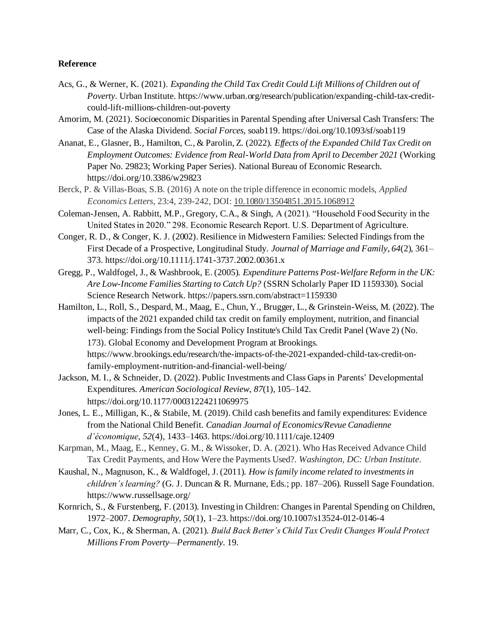# **Reference**

- Acs, G., & Werner, K. (2021). *Expanding the Child Tax Credit Could Lift Millions of Children out of Poverty*. Urban Institute. https://www.urban.org/research/publication/expanding-child-tax-creditcould-lift-millions-children-out-poverty
- [Amorim, M. \(2021\). Socioeconomic Disparities in Parental Spending after Universal Cash Transfers: The](https://www.zotero.org/google-docs/?qaY3BK)  [Case of the Alaska Dividend.](https://www.zotero.org/google-docs/?qaY3BK) *[Social Forces](https://www.zotero.org/google-docs/?qaY3BK)*[, soab119. https://doi.org/10.1093/sf/soab119](https://www.zotero.org/google-docs/?qaY3BK)
- Ananat, E., Glasner, B., Hamilton, C., & Parolin, Z. (2022). *Effects of the Expanded Child Tax Credit on Employment Outcomes: Evidence from Real-World Data from April to December 2021* (Working Paper No. 29823; Working Paper Series). National Bureau of Economic Research. https://doi.org/10.3386/w29823
- Berck, P. & Villas-Boas, S.B. (2016) A note on the triple difference in economic models, *Applied Economics Letters*, 23:4, 239-242, DOI: [10.1080/13504851.2015.1068912](https://doi.org/10.1080/13504851.2015.1068912)
- Coleman-Jensen, A. Rabbitt, M.P., Gregory, C.A., & Singh, A (2021). "Household Food Security in the United States in 2020." 298. Economic Research Report. U.S. Department of Agriculture.
- Conger, R. D., & Conger, K. J. (2002). Resilience in Midwestern Families: Selected Findings from the First Decade of a Prospective, Longitudinal Study. *Journal of Marriage and Family*, *64*(2), 361– 373. https://doi.org/10.1111/j.1741-3737.2002.00361.x
- [Gregg, P., Waldfogel, J., & Washbrook, E. \(2005\).](https://www.zotero.org/google-docs/?qaY3BK) *[Expenditure Patterns Post-Welfare Reform in the UK:](https://www.zotero.org/google-docs/?qaY3BK)  [Are Low-Income Families Starting to Catch Up?](https://www.zotero.org/google-docs/?qaY3BK)* [\(SSRN Scholarly Paper ID 1159330\). Social](https://www.zotero.org/google-docs/?qaY3BK)  [Science Research Network. https://papers.ssrn.com/abstract=1159330](https://www.zotero.org/google-docs/?qaY3BK)
- Hamilton, L., Roll, S., Despard, M., Maag, E., Chun, Y., Brugger, L., & Grinstein-Weiss, M. (2022). The impacts of the 2021 expanded child tax credit on family employment, nutrition, and financial well-being: Findings from the Social Policy Institute's Child Tax Credit Panel (Wave 2) (No. 173). Global Economy and Development Program at Brookings. https://www.brookings.edu/research/the-impacts-of-the-2021-expanded-child-tax-credit-onfamily-employment-nutrition-and-financial-well-being/
- Jackson, M. I., & Schneider, D. (2022). Public Investments and Class Gaps in Parents' Developmental Expenditures. *American Sociological Review*, *87*(1), 105–142. https://doi.org/10.1177/00031224211069975
- [Jones, L. E., Milligan, K., & Stabile, M. \(2019\). Child cash benefits and family expenditures: Evidence](https://www.zotero.org/google-docs/?qaY3BK)  [from the National Child Benefit.](https://www.zotero.org/google-docs/?qaY3BK) *[Canadian Journal of Economics/Revue Canadienne](https://www.zotero.org/google-docs/?qaY3BK)  [d'économique](https://www.zotero.org/google-docs/?qaY3BK)*[,](https://www.zotero.org/google-docs/?qaY3BK) *[52](https://www.zotero.org/google-docs/?qaY3BK)*[\(4\), 1433–1463. https://doi.org/10.1111/caje.12409](https://www.zotero.org/google-docs/?qaY3BK)
- Karpman, M., Maag, E., Kenney, G. M., & Wissoker, D. A. (2021). Who Has Received Advance Child Tax Credit Payments, and How Were the Payments Used?. *Washington, DC: Urban Institute*.
- Kaushal, N., Magnuson, K., & Waldfogel, J. (2011). *How is family income related to investments in children's learning?* (G. J. Duncan & R. Murnane, Eds.; pp. 187–206). Russell Sage Foundation. https://www.russellsage.org/
- Kornrich, S., & Furstenberg, F. (2013). Investing in Children: Changes in Parental Spending on Children, 1972–2007. *Demography*, *50*(1), 1–23. https://doi.org/10.1007/s13524-012-0146-4
- Marr, C., Cox, K., & Sherman, A. (2021). *Build Back Better's Child Tax Credit Changes Would Protect Millions From Poverty—Permanently*. 19.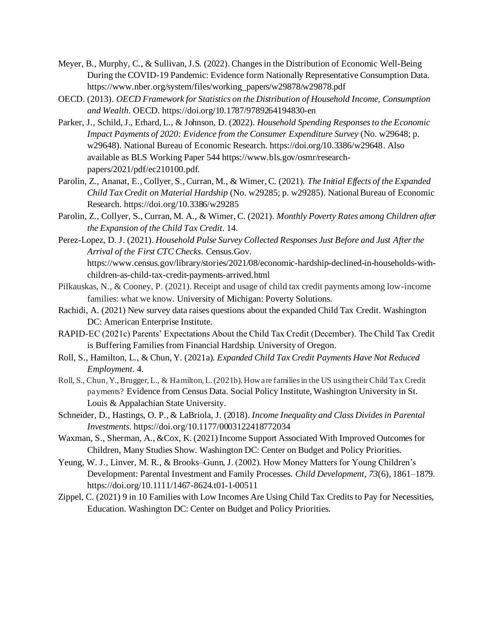- Meyer, B., Murphy, C., & Sullivan, J.S. (2022). Changes in the Distribution of Economic Well-Being During the COVID-19 Pandemic: Evidence form Nationally Representative Consumption Data. https://www.nber.org/system/files/working\_papers/w29878/w29878.pdf
- [OECD. \(2013\).](https://www.zotero.org/google-docs/?qaY3BK) *[OECD Framework for Statistics on the Distribution of Household Income, Consumption](https://www.zotero.org/google-docs/?qaY3BK)  [and Wealth](https://www.zotero.org/google-docs/?qaY3BK)*[. OECD. https://doi.org/10.1787/9789264194830-en](https://www.zotero.org/google-docs/?qaY3BK)
- [Parker, J., Schild, J., Erhard, L., & Johnson, D. \(2022\).](https://www.zotero.org/google-docs/?qaY3BK) *[Household Spending Responses to the Economic](https://www.zotero.org/google-docs/?qaY3BK)  [Impact Payments of 2020: Evidence from the Consumer Expenditure Survey](https://www.zotero.org/google-docs/?qaY3BK)* [\(No. w29648; p.](https://www.zotero.org/google-docs/?qaY3BK)  [w29648\). National Bureau of Economic Research. https://doi.org/10.3386/w29648](https://www.zotero.org/google-docs/?qaY3BK). Also available as BLS Working Paper 544 https://www.bls.gov/osmr/researchpapers/2021/pdf/ec210100.pdf.
- [Parolin, Z., Ananat, E., Collyer, S., Curran, M., & Wimer, C. \(2021\).](https://www.zotero.org/google-docs/?qaY3BK) *[The Initial Effects of the Expanded](https://www.zotero.org/google-docs/?qaY3BK)  [Child Tax Credit on Material Hardship](https://www.zotero.org/google-docs/?qaY3BK)* [\(No. w29285; p. w29285\). National Bureau of Economic](https://www.zotero.org/google-docs/?qaY3BK)  [Research. https://doi.org/10.3386/w29285](https://www.zotero.org/google-docs/?qaY3BK)
- [Parolin, Z., Collyer, S., Curran, M. A., & Wimer, C. \(2021\).](https://www.zotero.org/google-docs/?qaY3BK) *[Monthly Poverty Rates among Children after](https://www.zotero.org/google-docs/?qaY3BK)  [the Expansion of the Child Tax](https://www.zotero.org/google-docs/?qaY3BK) Credit*[. 14.](https://www.zotero.org/google-docs/?qaY3BK)
- Perez-Lopez, D. J. (2021). *Household Pulse Survey Collected Responses Just Before and Just After the Arrival of the First CTC Checks*. Census.Gov. https://www.census.gov/library/stories/2021/08/economic-hardship-declined-in-households-withchildren-as-child-tax-credit-payments-arrived.html
- Pilkauskas, N., & Cooney, P. (2021). Receipt and usage of child tax credit payments among low-income families: what we know. University of Michigan: Poverty Solutions.
- Rachidi, A. (2021) New survey data raises questions about the expanded Child Tax Credit. Washington DC: American Enterprise Institute.
- RAPID-EC (2021c) Parents' Expectations About the Child Tax Credit (December). The Child Tax Credit is Buffering Families from Financial Hardship. University of Oregon.
- Roll, S., Hamilton, L., & Chun, Y. (2021a). *Expanded Child Tax Credit Payments Have Not Reduced Employment*. 4.
- Roll, S., Chun, Y., Brugger, L., & Hamilton, L. (2021b). How are families in the US using their Child Tax Credit payments? Evidence from Census Data. Social Policy Institute, Washington University in St. Louis & Appalachian State University.
- Schneider, D., Hastings, O. P., & LaBriola, J. (2018). *Income Inequality and Class Divides in Parental Investments*. https://doi.org/10.1177/0003122418772034
- Waxman, S., Sherman, A., &Cox, K. (2021) Income Support Associated With Improved Outcomes for Children, Many Studies Show. Washington DC: Center on Budget and Policy Priorities.
- Yeung, W. J., Linver, M. R., & Brooks–Gunn, J. (2002). How Money Matters for Young Children's Development: Parental Investment and Family Processes. *Child Development*, *73*(6), 1861–1879. https://doi.org/10.1111/1467-8624.t01-1-00511
- Zippel, C. (2021) 9 in 10 Families with Low Incomes Are Using Child Tax Credits to Pay for Necessities, Education. Washington DC: Center on Budget and Policy Priorities.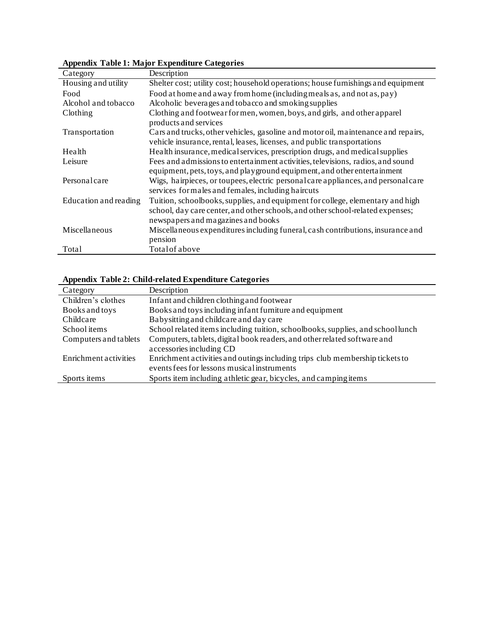| Category              | Description                                                                                                                                                                                            |
|-----------------------|--------------------------------------------------------------------------------------------------------------------------------------------------------------------------------------------------------|
| Housing and utility   | Shelter cost; utility cost; household operations; house furnishings and equipment                                                                                                                      |
| Food                  | Food at home and away from home (including meals as, and not as, pay)                                                                                                                                  |
| Alcohol and tobacco   | Alcoholic beverages and tobacco and smoking supplies                                                                                                                                                   |
| Clothing              | Clothing and footwear formen, women, boys, and girls, and other apparel<br>products and services                                                                                                       |
| Transportation        | Cars and trucks, other vehicles, gasoline and motor oil, maintenance and repairs,<br>vehicle insurance, rental, leases, licenses, and public transportations                                           |
| Health                | Health insurance, medical services, prescription drugs, and medical supplies                                                                                                                           |
| Leisure               | Fees and admissions to entertainment activities, televisions, radios, and sound<br>equipment, pets, toys, and playground equipment, and other entertainment                                            |
| Personalcare          | Wigs, hairpieces, or toupees, electric personal care appliances, and personal care<br>services formales and females, including haircuts                                                                |
| Education and reading | Tuition, schoolbooks, supplies, and equipment for college, elementary and high<br>school, day care center, and other schools, and other school-related expenses;<br>newspapers and magazines and books |
| Miscellaneous         | Miscellaneous expenditures including funeral, cash contributions, insurance and                                                                                                                        |
|                       | pension                                                                                                                                                                                                |
| Total                 | Total of above                                                                                                                                                                                         |

**Appendix Table 1: Major Expenditure Categories** 

# **Appendix Table 2: Child-related Expenditure Categories**

| Category              | Description                                                                     |
|-----------------------|---------------------------------------------------------------------------------|
| Children's clothes    | Infant and children clothing and footwear                                       |
| Books and toys        | Books and toys including infant furniture and equipment                         |
| Childcare             | Babysitting and childcare and day care                                          |
| School items          | School related items including tuition, schoolbooks, supplies, and school lunch |
| Computers and tablets | Computers, tablets, digital book readers, and other related software and        |
|                       | accessories including CD                                                        |
| Enrichment activities | Enrichment activities and outings including trips club membership tickets to    |
|                       | events fees for lessons musical instruments                                     |
| Sports items          | Sports item including athletic gear, bicycles, and camping items                |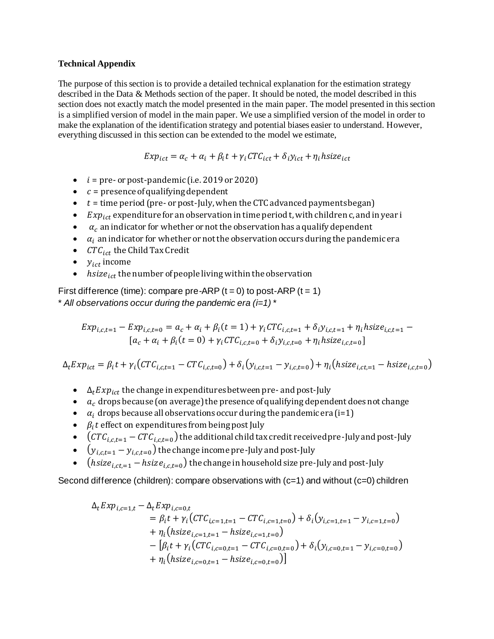# **Technical Appendix**

The purpose of this section is to provide a detailed technical explanation for the estimation strategy described in the Data & Methods section of the paper. It should be noted, the model described in this section does not exactly match the model presented in the main paper. The model presented in this section is a simplified version of model in the main paper. We use a simplified version of the model in order to make the explanation of the identification strategy and potential biases easier to understand. However, everything discussed in this section can be extended to the model we estimate,

$$
Exp_{ict} = \alpha_c + \alpha_i + \beta_i t + \gamma_i CTC_{ict} + \delta_i y_{ict} + \eta_i h size_{ict}
$$

- $\bullet$  *i* = pre- or post-pandemic (i.e. 2019 or 2020)
- $\bullet$   $c =$  presence of qualifying dependent
- $\bullet$   $t =$  time period (pre- or post-July, when the CTC advanced payments began)
- $Exp_{ict}$  expenditure for an observation in time period t, with children c, and in year i
- $\bullet$   $\alpha_c$  an indicator for whether or not the observation has a qualify dependent
- $\bullet$   $\alpha_i$  an indicator for whether or not the observation occurs during the pandemic era
- $CTC_{ict}$  the Child Tax Credit
- $\bullet$   $y_{ict}$  income
- $hsize_{ict}$  the number of people living within the observation

First difference (time): compare pre-ARP ( $t = 0$ ) to post-ARP ( $t = 1$ ) \* *All observations occur during the pandemic era (i=1) \** 

$$
Exp_{i,c,t=1} - Exp_{i,c,t=0} = a_c + \alpha_i + \beta_i (t = 1) + \gamma_i CTC_{i,c,t=1} + \delta_i y_{i,c,t=1} + \eta_i h size_{i,c,t=1} - [a_c + \alpha_i + \beta_i (t = 0) + \gamma_i CTC_{i,c,t=0} + \delta_i y_{i,c,t=0} + \eta_i h size_{i,c,t=0}]
$$

 $\Delta_t E x p_{ict} = \beta_i t + \gamma_i (CTC_{i,c,t=1} - CTC_{i,c,t=0}) + \delta_i (y_{i,c,t=1} - y_{i,c,t=0}) + \eta_i (hsize_{i,c,t=1} -hsize_{i,c,t=0})$ 

- $\Delta_t Exp_{ict}$  the change in expenditures between pre- and post-July
- $\bullet$   $\alpha_c$  drops because (on average) the presence of qualifying dependent does not change
- $\alpha_i$  drops because all observations occur during the pandemic era (i=1)
- $\bullet$   $\beta_i t$  effect on expenditures from being post July
- $\bullet$  (CT  $C_{i,c,t=1} {\it CTC}_{i,c,t=0}$ ) the additional child tax credit received pre-July and post-July
- $\bullet \quad \left(y_{i,c,t=1} y_{i,c,t=0}\right)$  the change income pre-July and post-July
- (hsiz $e_{i,ct,=1}$  hsiz $e_{i,c,t=0}$ ) the change in household size pre-July and post-July

Second difference (children): compare observations with  $(c=1)$  and without  $(c=0)$  children

$$
\Delta_t Exp_{i,c=1,t} - \Delta_t Exp_{i,c=0,t}
$$
\n
$$
= \beta_i t + \gamma_i (CTC_{i,c=1,t=1} - CTC_{i,c=1,t=0}) + \delta_i (y_{i,c=1,t=1} - y_{i,c=1,t=0})
$$
\n
$$
+ \eta_i (hsize_{i,c=1,t=1} - hsize_{i,c=1,t=0})
$$
\n
$$
- [\beta_i t + \gamma_i (CTC_{i,c=0,t=1} - CTC_{i,c=0,t=0}) + \delta_i (y_{i,c=0,t=1} - y_{i,c=0,t=0})
$$
\n
$$
+ \eta_i (hsize_{i,c=0,t=1} - hsize_{i,c=0,t=0})]
$$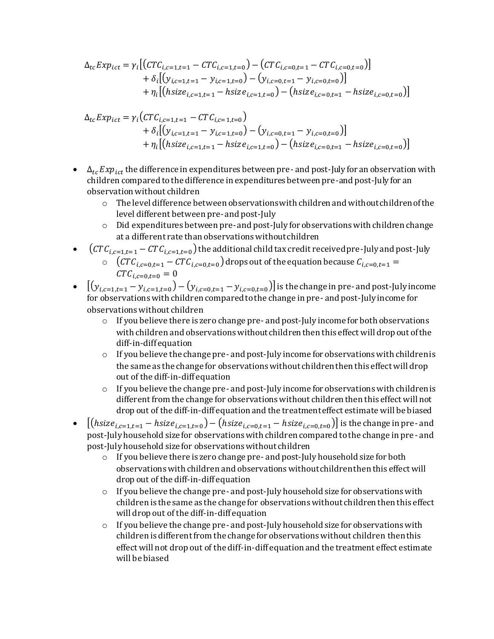$$
\Delta_{tc} Exp_{ict} = \gamma_i \left[ \left( CTC_{i,c=1,t=1} - CTC_{i,c=1,t=0} \right) - \left( CTC_{i,c=0,t=1} - CTC_{i,c=0,t=0} \right) \right] \n+ \delta_i \left[ \left( y_{i,c=1,t=1} - y_{i,c=1,t=0} \right) - \left( y_{i,c=0,t=1} - y_{i,c=0,t=0} \right) \right] \n+ \eta_i \left[ \left( hsize_{i,c=1,t=1} - hsize_{i,c=1,t=0} \right) - \left( hsize_{i,c=0,t=1} - hsize_{i,c=0,t=0} \right) \right]
$$

$$
\Delta_{tc} Exp_{ict} = \gamma_i (CTC_{i,c=1,t=1} - CTC_{i,c=1,t=0}) \n+ \delta_i [(y_{i,c=1,t=1} - y_{i,c=1,t=0}) - (y_{i,c=0,t=1} - y_{i,c=0,t=0})] \n+ \eta_i [(hsize_{i,c=1,t=1} - hsize_{i,c=1,t=0}) - (hsize_{i,c=0,t=1} - hsize_{i,c=0,t=0})]
$$

- $\Delta_{tc} Exp_{ict}$  the difference in expenditures between pre- and post-July for an observation with children compared to the difference in expenditures between pre-and post-July for an observation without children
	- o The level difference between observations with children and without children of the level different between pre-and post-July
	- $\circ$  Did expenditures between pre-and post-July for observations with children change at a different rate than observations without children
- $\bullet$  (CT  $C_{i,c=1,t=1} C T C_{i,c=1,t=0}$ ) the additional child tax credit received pre-July and post-July  $\circ \quad ({\cal CTC}_{i,c=0,t=1}-{\cal CTC}_{i,c=0,t=0})$  drops out of the equation because  ${\cal C}_{i,c=0,t=1}=$  $CTC_{i,c=0,t=0} = 0$
- $[(y_{i,c=1,t=1} y_{i,c=1,t=0}) (y_{i,c=0,t=1} y_{i,c=0,t=0})]$  is the change in pre- and post-July income for observations with children compared to the change in pre- and post-July income for observations without children
	- $\circ$  If you believe there is zero change pre- and post-July income for both observations with children and observations without children then this effect will drop out of the diff-in-diff equation
	- $\circ$  If you believe the change pre- and post-July income for observations with children is the same as the change for observations without children then this effect will drop out of the diff-in-diff equation
	- $\circ$  If you believe the change pre- and post-July income for observations with children is different from the change for observations without children then this effect will not drop out of the diff-in-diff equation and the treatment effect estimate will be biased
- $[(\textit{hsize}_{i,c=1,t=1}-\textit{hsize}_{i,c=1,t=0})-(\textit{hsize}_{i,c=0,t=1}-\textit{hsize}_{i,c=0,t=0})]$  is the change in pre- and post-July household size for observations with children compared to the change in pre- and post-July household size for observations without children
	- o If you believe there is zero change pre- and post-July household size for both observations with children and observations without children then this effect will drop out of the diff-in-diff equation
	- $\circ$  If you believe the change pre- and post-July household size for observations with children is the same as the change for observations without children then this effect will drop out of the diff-in-diff equation
	- $\circ$  If you believe the change pre- and post-July household size for observations with children is different from the change for observations without children then this effect will not drop out of the diff-in-diff equation and the treatment effect estimate will be biased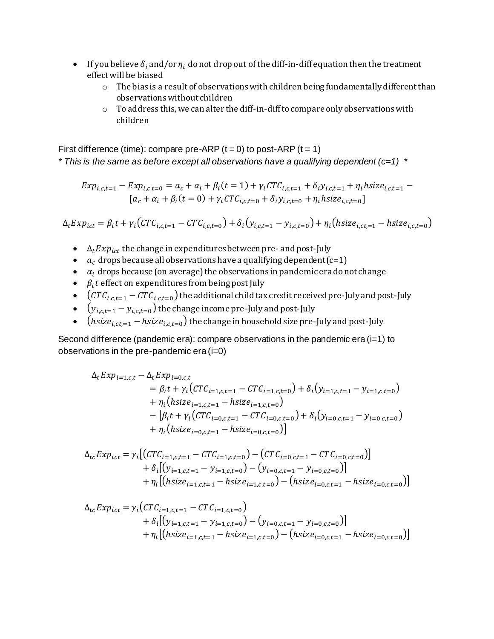- If you believe  $\delta_i$  and/or  $\eta_i$  do not drop out of the diff-in-diff equation then the treatment effect will be biased
	- o The bias is a result of observations with children being fundamentally different than observations without children
	- $\circ$  To address this, we can alter the diff-in-diff to compare only observations with children

First difference (time): compare pre-ARP ( $t = 0$ ) to post-ARP ( $t = 1$ ) *\* This is the same as before except all observations have a qualifying dependent (c=1) \** 

$$
Exp_{i,c,t=1} - Exp_{i,c,t=0} = a_c + \alpha_i + \beta_i (t = 1) + \gamma_i CTC_{i,c,t=1} + \delta_i y_{i,c,t=1} + \eta_i h size_{i,c,t=1} - [a_c + \alpha_i + \beta_i (t = 0) + \gamma_i CTC_{i,c,t=0} + \delta_i y_{i,c,t=0} + \eta_i h size_{i,c,t=0}]
$$

 $\Delta_t Exp_{ict} = \beta_i t + \gamma_i (CTC_{i,c,t=1} - CTC_{i,c,t=0}) + \delta_i (y_{i,c,t=1} - y_{i,c,t=0}) + \eta_i (hsize_{i,c,t=1} -hsize_{i,c,t=0})$ 

- $\Delta_t Exp_{ict}$  the change in expenditures between pre- and post-July
- $a_c$  drops because all observations have a qualifying dependent (c=1)
- $\bullet$   $\alpha_i$  drops because (on average) the observations in pandemic era do not change
- $\bullet$   $\beta_i t$  effect on expenditures from being post July
- $\bullet$  (  $\mathit{CTC}_{i,c,t=1} \mathit{CTC}_{i,c,t=0}$  ) the additional child tax credit received pre-July and post-July
- $\bullet \quad \left( {\cal Y}_{i,c,t=1} {\cal Y}_{i,c,t=0} \right)$  the change income pre-July and post-July
- (hsiz $e_{i,ct,=1}$  hsiz $e_{i,c,t=0}$ ) the change in household size pre-July and post-July

Second difference (pandemic era): compare observations in the pandemic era (i=1) to observations in the pre-pandemic era (i=0)

$$
\Delta_t Exp_{i=1,c,t} - \Delta_t Exp_{i=0,c,t}
$$
\n
$$
= \beta_i t + \gamma_i (CTC_{i=1,c,t=1} - CTC_{i=1,c,t=0}) + \delta_i (y_{i=1,c,t=1} - y_{i=1,c,t=0})
$$
\n
$$
+ \eta_i (hsize_{i=1,c,t=1} - hsize_{i=1,c,t=0})
$$
\n
$$
- [\beta_i t + \gamma_i (CTC_{i=0,c,t=1} - CTC_{i=0,c,t=0}) + \delta_i (y_{i=0,c,t=1} - y_{i=0,c,t=0})
$$
\n
$$
+ \eta_i (hsize_{i=0,c,t=1} - hsize_{i=0,c,t=0})]
$$

$$
\Delta_{tc} Exp_{ict} = \gamma_i \left[ \left( CTC_{i=1,c,t=1} - CTC_{i=1,c,t=0} \right) - \left( CTC_{i=0,c,t=1} - CTC_{i=0,c,t=0} \right) \right] \n+ \delta_i \left[ \left( y_{i=1,c,t=1} - y_{i=1,c,t=0} \right) - \left( y_{i=0,c,t=1} - y_{i=0,c,t=0} \right) \right] \n+ \eta_i \left[ \left( hsize_{i=1,c,t=1} - hsize_{i=1,c,t=0} \right) - \left( hsize_{i=0,c,t=1} - hsize_{i=0,c,t=0} \right) \right]
$$

$$
\Delta_{tc} Exp_{ict} = \gamma_i (CTC_{i=1,c,t=1} - CTC_{i=1,c,t=0}) \n+ \delta_i [(y_{i=1,c,t=1} - y_{i=1,c,t=0}) - (y_{i=0,c,t=1} - y_{i=0,c,t=0})] \n+ \eta_i [(hsize_{i=1,c,t=1} - hsize_{i=1,c,t=0}) - (hsize_{i=0,c,t=1} - hsize_{i=0,c,t=0})]
$$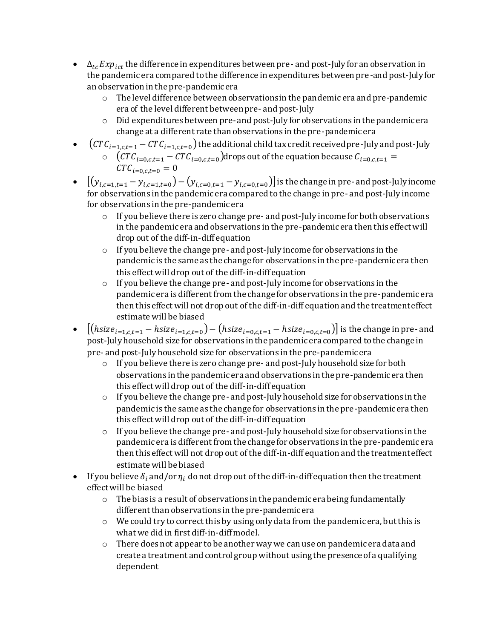- $\Delta_{tc} Exp_{ict}$  the difference in expenditures between pre- and post-July for an observation in the pandemic era compared to the difference in expenditures between pre-and post-July for an observation in the pre-pandemic era
	- $\circ$  The level difference between observations in the pandemic era and pre-pandemic era of the level different between pre- and post-July
	- $\circ$  Did expenditures between pre-and post-July for observations in the pandemic era change at a different rate than observations in the pre-pandemic era
- $\bullet$   $\quad$   $(CTC_{i=1,c,t=1} CTC_{i=1,c,t=0})$  the additional child tax credit received pre-July and post-July
	- $\circ \quad ({\cal CTC}_{i=0,c,t=1}-{\cal CTC}_{i=0,c,t=0})$ drops out of the equation because  ${\cal C}_{i=0,c,t=1}=$  $CTC_{i=0, c,t=0} = 0$
- $[(y_{i,c=1,t=1} y_{i,c=1,t=0}) (y_{i,c=0,t=1} y_{i,c=0,t=0})]$  is the change in pre- and post-July income for observations in the pandemic era compared to the change in pre- and post-July income for observations in the pre-pandemic era
	- o If you believe there is zero change pre- and post-July income for both observations in the pandemic era and observations in the pre-pandemic era then this effect will drop out of the diff-in-diff equation
	- $\circ$  If you believe the change pre- and post-July income for observations in the pandemic is the same as the change for observations in the pre-pandemic era then this effect will drop out of the diff-in-diff equation
	- $\circ$  If you believe the change pre- and post-July income for observations in the pandemic era is different from the change for observations in the pre-pandemic era then this effect will not drop out of the diff-in-diff equation and the treatment effect estimate will be biased
- $[(\textit{hsize}_{i=1,c,t=1}-\textit{hsize}_{i=1,c,t=0}) (\textit{hsize}_{i=0,c,t=1}-\textit{hsize}_{i=0,c,t=0})]$  is the change in pre- and post-July household size for observations in the pandemic era compared to the change in pre- and post-July household size for observations in the pre-pandemic era
	- o If you believe there is zero change pre- and post-July household size for both observations in the pandemic era and observations in the pre-pandemic era then this effect will drop out of the diff-in-diff equation
	- $\circ$  If you believe the change pre- and post-July household size for observations in the pandemic is the same as the change for observations in the pre-pandemic era then this effect will drop out of the diff-in-diff equation
	- $\circ$  If you believe the change pre- and post-July household size for observations in the pandemic era is different from the change for observations in the pre-pandemic era then this effect will not drop out of the diff-in-diff equation and the treatment effect estimate will be biased
- If you believe  $\delta_i$  and/or  $\eta_i$  do not drop out of the diff-in-diff equation then the treatment effect will be biased
	- $\circ$  The bias is a result of observations in the pandemic era being fundamentally different than observations in the pre-pandemic era
	- o We could try to correct this by using only data from the pandemic era, but this is what we did in first diff-in-diff model.
	- o There does not appear to be another way we can use on pandemic era data and create a treatment and control group without using the presence of a qualifying dependent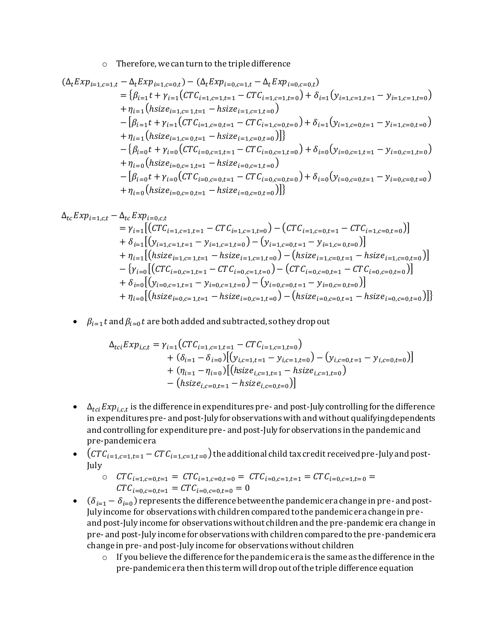o Therefore, we can turn to the triple difference

$$
\begin{split}\n(\Delta_t E x p_{i=1,c=1,t} - \Delta_t E x p_{i=1,c=0,t}) - (\Delta_t E x p_{i=0,c=1,t} - \Delta_t E x p_{i=0,c=0,t}) \\
&= \{\beta_{i=1} t + \gamma_{i=1} (CTC_{i=1,c=1,t=1} - CTC_{i=1,c=1,t=0}) + \delta_{i=1} (y_{i=1,c=1,t=1} - y_{i=1,c=1,t=0}) \\
&\quad + \eta_{i=1} (hsize_{i=1,c=1,t=1} - hsize_{i=1,c=0,t=0}) + \delta_{i=1} (y_{i=1,c=0,t=1} - y_{i=1,c=0,t=0}) \\
&\quad + \eta_{i=1} (hsize_{i=1,c=0,t=1} - hsize_{i=1,c=0,t=0})]\n\\
&\quad - \{\beta_{i=0} t + \gamma_{i=0} (CTC_{i=0,c=1,t=1} - CTC_{i=0,c=1,t=0}) + \delta_{i=0} (y_{i=0,c=1,t=1} - y_{i=0,c=1,t=0}) \\
&\quad + \eta_{i=0} (hsize_{i=0,c=1,t=1} - hsize_{i=0,c=1,t=0}) \\
&\quad - \beta_{i=0} t + \gamma_{i=0} (CTC_{i=0,c=0,t=1} - CTC_{i=0,c=0,t=0}) + \delta_{i=0} (y_{i=0,c=0,t=1} - y_{i=0,c=0,t=0}) \\
&\quad + \eta_{i=0} (hsize_{i=0,c=0,t=1} - hsize_{i=0,c=0,t=0})]\n\end{split}
$$

$$
\Delta_{tc} Exp_{i=1,c,t} - \Delta_{tc} Exp_{i=0,c,t}
$$
\n
$$
= \gamma_{i=1} [(CTC_{i=1,c=1,t=1} - CTC_{i=1,c=1,t=0}) - (CTC_{i=1,c=0,t=1} - CTC_{i=1,c=0,t=0})]
$$
\n
$$
+ \delta_{i=1} [(y_{i=1,c=1,t=1} - y_{i=1,c=1,t=0}) - (y_{i=1,c=0,t=1} - y_{i=1,c=0,t=0})]
$$
\n
$$
+ \eta_{i=1} [(hsize_{i=1,c=1,t=1} - hsize_{i=1,c=1,t=0}) - (hsize_{i=1,c=0,t=1} - hsize_{i=1,c=0,t=0})]
$$
\n
$$
- \{\gamma_{i=0} [(CTC_{i=0,c=1,t=1} - CTC_{i=0,c=1,t=0}) - (CTC_{i=0,c=0,t=1} - CTC_{i=0,c=0,t=0})]
$$
\n
$$
+ \delta_{i=0} [(y_{i=0,c=1,t=1} - y_{i=0,c=1,t=0}) - (y_{i=0,c=0,t=1} - y_{i=0,c=0,t=0})]
$$
\n
$$
+ \eta_{i=0} [(hsize_{i=0,c=1,t=1} - hsize_{i=0,c=1,t=0}) - (hsize_{i=0,c=0,t=1} - hsize_{i=0,c=0,t=0})]
$$

 $\bullet$   $\beta_{i=1} t$  and  $\beta_{i=0} t$  are both added and subtracted, so they drop out

$$
\Delta_{tci} Exp_{i,c,t} = \gamma_{i=1} (CTC_{i=1,c=1,t=1} - CTC_{i=1,c=1,t=0}) \n+ (\delta_{i=1} - \delta_{i=0}) [(y_{i,c=1,t=1} - y_{i,c=1,t=0}) - (y_{i,c=0,t=1} - y_{i,c=0,t=0})] \n+ (\eta_{i=1} - \eta_{i=0}) [(hsize_{i,c=1,t=1} - hsize_{i,c=1,t=0}) \n- (hsize_{i,c=0,t=1} - hsize_{i,c=0,t=0})]
$$

- $\bullet$   $\Delta_{tci} Exp_{i,c,t}$  is the difference in expenditures pre- and post-July controlling for the difference in expenditures pre- and post-July for observations with and without qualifying dependents and controlling for expenditure pre- and post-July for observations in the pandemic and pre-pandemic era
- $\bullet$  (CT  $C_{i=1,c=1,t=1} CTC_{i=1,c=1,t=0}$ ) the additional child tax credit received pre-July and post-July

$$
\begin{array}{lll}\n\circ & CTC_{i=1,c=0,t=1} = CTC_{i=1,c=0,t=0} = CTC_{i=0,c=1,t=1} = CTC_{i=0,c=1,t=0} = & CTC_{i=0,c=0,t=1} = GTC_{i=0,c=0,t=0} = 0\n\end{array}
$$

- $\bullet$  ( $\delta_{i=1} \delta_{i=0}$ ) represents the difference between the pandemic era change in pre-and post-July income for observations with children compared to the pandemic era change in preand post-July income for observations without children and the pre-pandemic era change in pre- and post-July income for observations with children compared to the pre-pandemic era change in pre- and post-July income for observations without children
	- $\circ$  If you believe the difference for the pandemic era is the same as the difference in the pre-pandemic era then this term will drop out of the triple difference equation